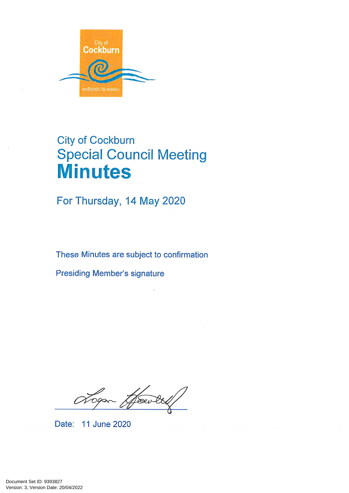

# **City of Cockburn Special Council Meeting Minutes**

For Thursday, 14 May 2020

These Minutes are subject to confirmation

**Presiding Member's signature** 

Assev.

Date: 11 June 2020

Version: 3, Version Date: 20/04/2022 Document Set ID: 9393827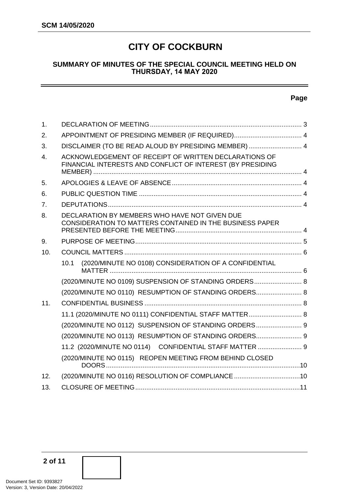# **CITY OF COCKBURN**

#### **SUMMARY OF MINUTES OF THE SPECIAL COUNCIL MEETING HELD ON THURSDAY, 14 MAY 2020**

#### **Page**

| $\mathbf 1$ .    |                                                                                                                     |  |
|------------------|---------------------------------------------------------------------------------------------------------------------|--|
| 2.               |                                                                                                                     |  |
| 3.               | DISCLAIMER (TO BE READ ALOUD BY PRESIDING MEMBER)  4                                                                |  |
| $\overline{4}$ . | ACKNOWLEDGEMENT OF RECEIPT OF WRITTEN DECLARATIONS OF<br>FINANCIAL INTERESTS AND CONFLICT OF INTEREST (BY PRESIDING |  |
| 5.               |                                                                                                                     |  |
| 6.               |                                                                                                                     |  |
| 7.               |                                                                                                                     |  |
| 8.               | DECLARATION BY MEMBERS WHO HAVE NOT GIVEN DUE<br>CONSIDERATION TO MATTERS CONTAINED IN THE BUSINESS PAPER           |  |
| 9.               |                                                                                                                     |  |
| 10.              |                                                                                                                     |  |
|                  | (2020/MINUTE NO 0108) CONSIDERATION OF A CONFIDENTIAL<br>10.1                                                       |  |
|                  | (2020/MINUTE NO 0109) SUSPENSION OF STANDING ORDERS 8                                                               |  |
|                  | (2020/MINUTE NO 0110) RESUMPTION OF STANDING ORDERS 8                                                               |  |
| 11.              |                                                                                                                     |  |
|                  | 11.1 (2020/MINUTE NO 0111) CONFIDENTIAL STAFF MATTER 8                                                              |  |
|                  | (2020/MINUTE NO 0112) SUSPENSION OF STANDING ORDERS 9                                                               |  |
|                  | (2020/MINUTE NO 0113) RESUMPTION OF STANDING ORDERS 9                                                               |  |
|                  | 11.2 (2020/MINUTE NO 0114) CONFIDENTIAL STAFF MATTER  9                                                             |  |
|                  | (2020/MINUTE NO 0115) REOPEN MEETING FROM BEHIND CLOSED                                                             |  |
| 12.              | (2020/MINUTE NO 0116) RESOLUTION OF COMPLIANCE 10                                                                   |  |
| 13.              |                                                                                                                     |  |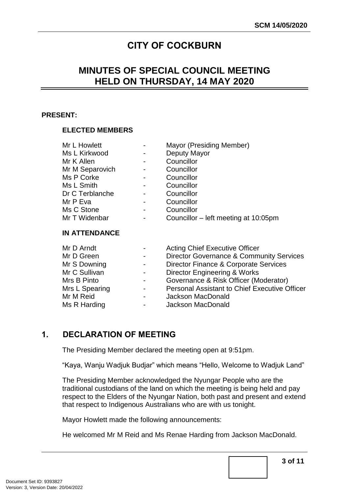# **CITY OF COCKBURN**

# **MINUTES OF SPECIAL COUNCIL MEETING HELD ON THURSDAY, 14 MAY 2020**

#### **PRESENT:**

#### **ELECTED MEMBERS**

| Mr L Howlett         |   | Mayor (Presiding Member)             |  |  |  |
|----------------------|---|--------------------------------------|--|--|--|
| Ms L Kirkwood        | - | Deputy Mayor                         |  |  |  |
| Mr K Allen           | - | Councillor                           |  |  |  |
| Mr M Separovich      | - | Councillor                           |  |  |  |
| Ms P Corke           | - | Councillor                           |  |  |  |
| Ms L Smith           | - | Councillor                           |  |  |  |
| Dr C Terblanche      | - | Councillor                           |  |  |  |
| Mr P Eva             | - | Councillor                           |  |  |  |
| Ms C Stone           | - | Councillor                           |  |  |  |
| Mr T Widenbar        | - | Councillor – left meeting at 10:05pm |  |  |  |
| <b>IN ATTENDANCE</b> |   |                                      |  |  |  |

| Mr D Arndt     |                          | <b>Acting Chief Executive Officer</b>               |
|----------------|--------------------------|-----------------------------------------------------|
| Mr D Green     | $\sim$ 100 $\mu$         | <b>Director Governance &amp; Community Services</b> |
| Mr S Downing   | $\sim$ 100 $\mu$         | Director Finance & Corporate Services               |
| Mr C Sullivan  | $\overline{\phantom{a}}$ | <b>Director Engineering &amp; Works</b>             |
| Mrs B Pinto    | $\sim 100$               | Governance & Risk Officer (Moderator)               |
| Mrs L Spearing | $\sim 100$               | Personal Assistant to Chief Executive Officer       |
| Mr M Reid      |                          | Jackson MacDonald                                   |
| Ms R Harding   | $\blacksquare$           | Jackson MacDonald                                   |

# <span id="page-2-0"></span>**1. DECLARATION OF MEETING**

The Presiding Member declared the meeting open at 9:51pm.

"Kaya, Wanju Wadjuk Budjar" which means "Hello, Welcome to Wadjuk Land"

The Presiding Member acknowledged the Nyungar People who are the traditional custodians of the land on which the meeting is being held and pay respect to the Elders of the Nyungar Nation, both past and present and extend that respect to Indigenous Australians who are with us tonight.

Mayor Howlett made the following announcements:

He welcomed Mr M Reid and Ms Renae Harding from Jackson MacDonald.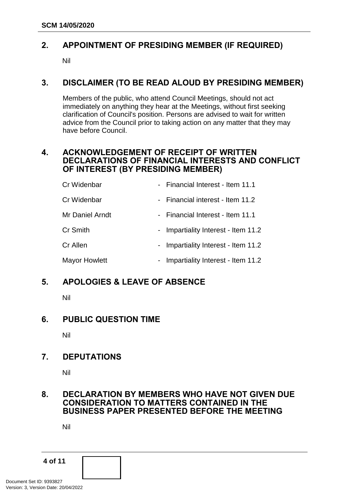# <span id="page-3-0"></span>**2. APPOINTMENT OF PRESIDING MEMBER (IF REQUIRED)**

Nil

# <span id="page-3-1"></span>**3. DISCLAIMER (TO BE READ ALOUD BY PRESIDING MEMBER)**

Members of the public, who attend Council Meetings, should not act immediately on anything they hear at the Meetings, without first seeking clarification of Council's position. Persons are advised to wait for written advice from the Council prior to taking action on any matter that they may have before Council.

#### <span id="page-3-2"></span>**4. ACKNOWLEDGEMENT OF RECEIPT OF WRITTEN DECLARATIONS OF FINANCIAL INTERESTS AND CONFLICT OF INTEREST (BY PRESIDING MEMBER)**

| Cr Widenbar     | - Financial Interest - Item 11.1    |
|-----------------|-------------------------------------|
| Cr Widenbar     | - Financial interest - Item 11.2    |
| Mr Daniel Arndt | - Financial Interest - Item 11.1    |
| <b>Cr Smith</b> | - Impartiality Interest - Item 11.2 |
| Cr Allen        | - Impartiality Interest - Item 11.2 |
| Mayor Howlett   | Impartiality Interest - Item 11.2   |

# <span id="page-3-3"></span>**5. APOLOGIES & LEAVE OF ABSENCE**

Nil

# <span id="page-3-4"></span>**6. PUBLIC QUESTION TIME**

Nil

# <span id="page-3-5"></span>**7. DEPUTATIONS**

Nil

#### <span id="page-3-6"></span>**8. DECLARATION BY MEMBERS WHO HAVE NOT GIVEN DUE CONSIDERATION TO MATTERS CONTAINED IN THE BUSINESS PAPER PRESENTED BEFORE THE MEETING**

Nil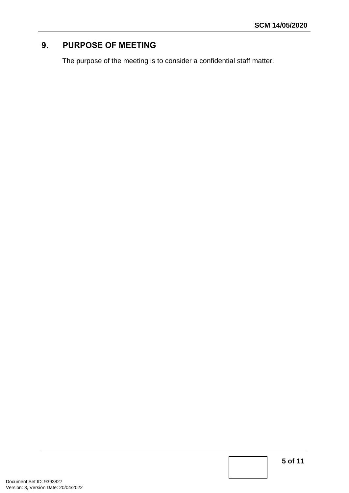# <span id="page-4-0"></span>**9. PURPOSE OF MEETING**

The purpose of the meeting is to consider a confidential staff matter.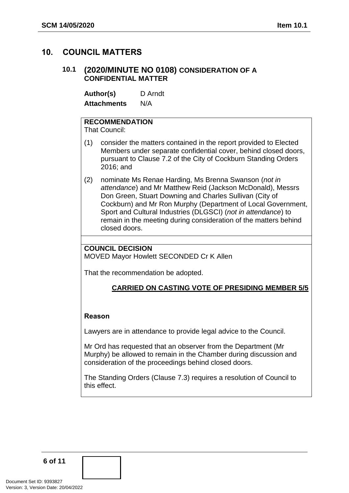# <span id="page-5-1"></span><span id="page-5-0"></span>**10. COUNCIL MATTERS**

#### **10.1 (2020/MINUTE NO 0108) CONSIDERATION OF A CONFIDENTIAL MATTER**

**Author(s)** D Arndt **Attachments** N/A

# **RECOMMENDATION**

That Council:

- (1) consider the matters contained in the report provided to Elected Members under separate confidential cover, behind closed doors, pursuant to Clause 7.2 of the City of Cockburn Standing Orders 2016; and
- (2) nominate Ms Renae Harding, Ms Brenna Swanson (*not in attendance*) and Mr Matthew Reid (Jackson McDonald), Messrs Don Green, Stuart Downing and Charles Sullivan (City of Cockburn) and Mr Ron Murphy (Department of Local Government, Sport and Cultural Industries (DLGSCI) (*not in attendance*) to remain in the meeting during consideration of the matters behind closed doors.

#### **COUNCIL DECISION**

MOVED Mayor Howlett SECONDED Cr K Allen

That the recommendation be adopted.

#### **CARRIED ON CASTING VOTE OF PRESIDING MEMBER 5/5**

#### **Reason**

Lawyers are in attendance to provide legal advice to the Council.

Mr Ord has requested that an observer from the Department (Mr Murphy) be allowed to remain in the Chamber during discussion and consideration of the proceedings behind closed doors.

The Standing Orders (Clause 7.3) requires a resolution of Council to this effect.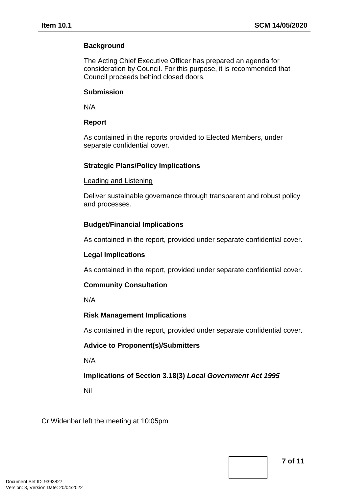### **Background**

The Acting Chief Executive Officer has prepared an agenda for consideration by Council. For this purpose, it is recommended that Council proceeds behind closed doors.

#### **Submission**

N/A

#### **Report**

As contained in the reports provided to Elected Members, under separate confidential cover.

#### **Strategic Plans/Policy Implications**

#### Leading and Listening

Deliver sustainable governance through transparent and robust policy and processes.

#### **Budget/Financial Implications**

As contained in the report, provided under separate confidential cover.

#### **Legal Implications**

As contained in the report, provided under separate confidential cover.

#### **Community Consultation**

N/A

#### **Risk Management Implications**

As contained in the report, provided under separate confidential cover.

#### **Advice to Proponent(s)/Submitters**

N/A

#### **Implications of Section 3.18(3)** *Local Government Act 1995*

Nil

Cr Widenbar left the meeting at 10:05pm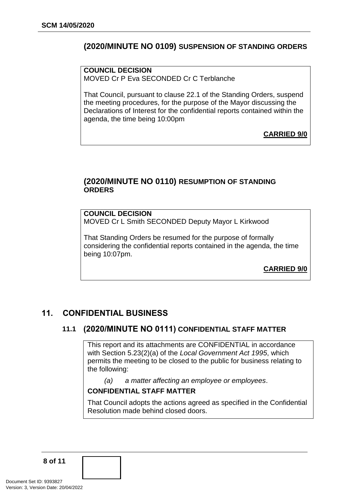# **(2020/MINUTE NO 0109) SUSPENSION OF STANDING ORDERS**

**COUNCIL DECISION** MOVED Cr P Eva SECONDED Cr C Terblanche

That Council, pursuant to clause 22.1 of the Standing Orders, suspend the meeting procedures, for the purpose of the Mayor discussing the Declarations of Interest for the confidential reports contained within the agenda, the time being 10:00pm

<span id="page-7-0"></span>**CARRIED 9/0**

#### <span id="page-7-1"></span>**(2020/MINUTE NO 0110) RESUMPTION OF STANDING ORDERS**

#### **COUNCIL DECISION**

MOVED Cr L Smith SECONDED Deputy Mayor L Kirkwood

That Standing Orders be resumed for the purpose of formally considering the confidential reports contained in the agenda, the time being 10:07pm.

<span id="page-7-3"></span>**CARRIED 9/0**

# <span id="page-7-2"></span>**11. CONFIDENTIAL BUSINESS**

#### **11.1 (2020/MINUTE NO 0111) CONFIDENTIAL STAFF MATTER**

This report and its attachments are CONFIDENTIAL in accordance with Section 5.23(2)(a) of the *Local Government Act 1995*, which permits the meeting to be closed to the public for business relating to the following:

*(a) a matter affecting an employee or employees*.

#### **CONFIDENTIAL STAFF MATTER**

That Council adopts the actions agreed as specified in the Confidential Resolution made behind closed doors.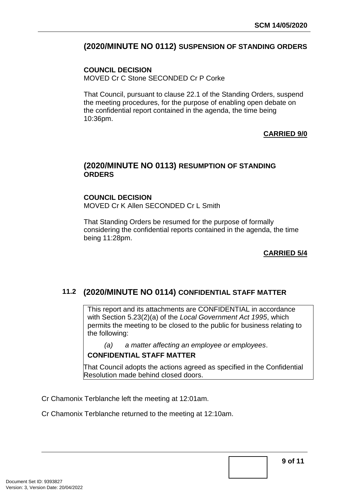# <span id="page-8-2"></span>**(2020/MINUTE NO 0112) SUSPENSION OF STANDING ORDERS**

#### **COUNCIL DECISION**

MOVED Cr C Stone SECONDED Cr P Corke

That Council, pursuant to clause 22.1 of the Standing Orders, suspend the meeting procedures, for the purpose of enabling open debate on the confidential report contained in the agenda, the time being 10:36pm.

#### <span id="page-8-0"></span>**CARRIED 9/0**

#### <span id="page-8-1"></span>**(2020/MINUTE NO 0113) RESUMPTION OF STANDING ORDERS**

#### **COUNCIL DECISION** MOVED Cr K Allen SECONDED Cr L Smith

That Standing Orders be resumed for the purpose of formally considering the confidential reports contained in the agenda, the time being 11:28pm.

#### **CARRIED 5/4**

# **11.2 (2020/MINUTE NO 0114) CONFIDENTIAL STAFF MATTER**

This report and its attachments are CONFIDENTIAL in accordance with Section 5.23(2)(a) of the *Local Government Act 1995*, which permits the meeting to be closed to the public for business relating to the following:

*(a) a matter affecting an employee or employees*.

#### **CONFIDENTIAL STAFF MATTER**

That Council adopts the actions agreed as specified in the Confidential Resolution made behind closed doors.

Cr Chamonix Terblanche left the meeting at 12:01am.

Cr Chamonix Terblanche returned to the meeting at 12:10am.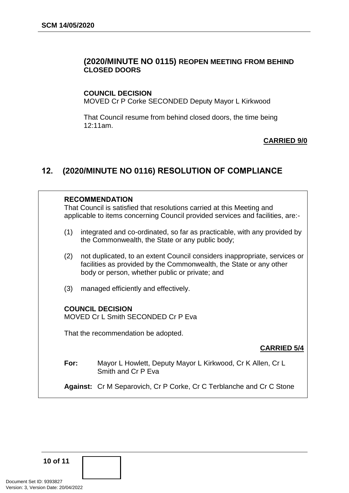#### <span id="page-9-0"></span>**(2020/MINUTE NO 0115) REOPEN MEETING FROM BEHIND CLOSED DOORS**

#### **COUNCIL DECISION**

MOVED Cr P Corke SECONDED Deputy Mayor L Kirkwood

That Council resume from behind closed doors, the time being 12:11am.

#### **CARRIED 9/0**

# <span id="page-9-1"></span>**12. (2020/MINUTE NO 0116) RESOLUTION OF COMPLIANCE**

| <b>RECOMMENDATION</b><br>That Council is satisfied that resolutions carried at this Meeting and<br>applicable to items concerning Council provided services and facilities, are:- |                                                                                                                                                                                                   |  |  |  |  |
|-----------------------------------------------------------------------------------------------------------------------------------------------------------------------------------|---------------------------------------------------------------------------------------------------------------------------------------------------------------------------------------------------|--|--|--|--|
| (1)                                                                                                                                                                               | integrated and co-ordinated, so far as practicable, with any provided by<br>the Commonwealth, the State or any public body;                                                                       |  |  |  |  |
| (2)                                                                                                                                                                               | not duplicated, to an extent Council considers inappropriate, services or<br>facilities as provided by the Commonwealth, the State or any other<br>body or person, whether public or private; and |  |  |  |  |
| (3)                                                                                                                                                                               | managed efficiently and effectively.                                                                                                                                                              |  |  |  |  |
| <b>COUNCIL DECISION</b><br>MOVED Cr L Smith SECONDED Cr P Eva                                                                                                                     |                                                                                                                                                                                                   |  |  |  |  |
| That the recommendation be adopted.                                                                                                                                               |                                                                                                                                                                                                   |  |  |  |  |
|                                                                                                                                                                                   | <b>CARRIED 5/4</b>                                                                                                                                                                                |  |  |  |  |
| For:                                                                                                                                                                              | Mayor L Howlett, Deputy Mayor L Kirkwood, Cr K Allen, Cr L<br>Smith and Cr P Eva                                                                                                                  |  |  |  |  |

**Against:** Cr M Separovich, Cr P Corke, Cr C Terblanche and Cr C Stone